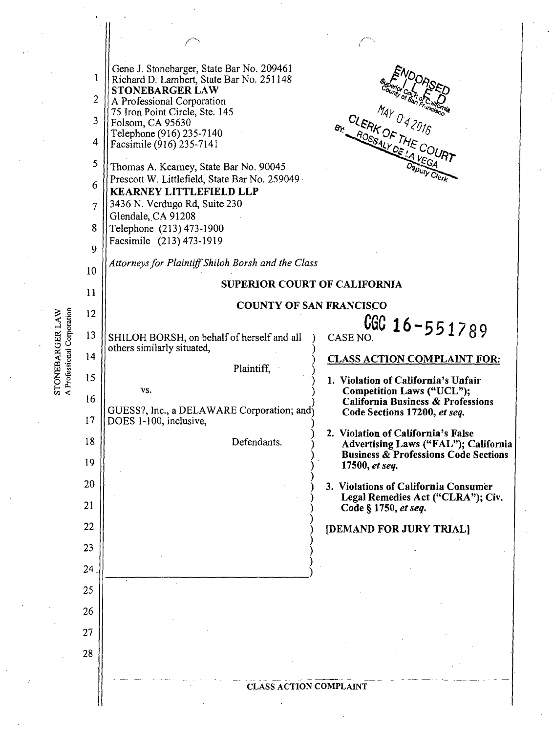|                                               | 1<br>$\overline{2}$<br>3<br>4<br>5<br>6<br>7<br>8<br>9 | Gene J. Stonebarger, State Bar No. 209461<br>Richard D. Lambert, State Bar No. 251148<br><b>STONEBARGER LAW</b><br>A Professional Corporation<br>75 Iron Point Circle, Ste. 145<br>Folsom, CA 95630<br>Telephone (916) 235-7140<br>Facsimile (916) 235-7141<br>Thomas A. Kearney, State Bar No. 90045<br>Prescott W. Littlefield, State Bar No. 259049<br><b>KEARNEY LITTLEFIELD LLP</b><br>3436 N. Verdugo Rd, Suite 230<br>Glendale, CA 91208<br>Telephone (213) 473-1900<br>Facsimile (213) 473-1919 | MAY 042016<br>CLERK OF THE COURT<br>Br. ROSSALY DELA                                                                                               |  |
|-----------------------------------------------|--------------------------------------------------------|---------------------------------------------------------------------------------------------------------------------------------------------------------------------------------------------------------------------------------------------------------------------------------------------------------------------------------------------------------------------------------------------------------------------------------------------------------------------------------------------------------|----------------------------------------------------------------------------------------------------------------------------------------------------|--|
|                                               | 10                                                     | Attorneys for Plaintiff Shiloh Borsh and the Class<br>SUPERIOR COURT OF CALIFORNIA                                                                                                                                                                                                                                                                                                                                                                                                                      |                                                                                                                                                    |  |
| STONEBARGER LAW<br>A Professional Corporation | 11                                                     | <b>COUNTY OF SAN FRANCISCO</b>                                                                                                                                                                                                                                                                                                                                                                                                                                                                          |                                                                                                                                                    |  |
|                                               | 12                                                     |                                                                                                                                                                                                                                                                                                                                                                                                                                                                                                         | $CGC$ 16-551789                                                                                                                                    |  |
|                                               | 13                                                     | SHILOH BORSH, on behalf of herself and all<br>others similarly situated,                                                                                                                                                                                                                                                                                                                                                                                                                                | CASE NO.                                                                                                                                           |  |
|                                               | 14                                                     | Plaintiff,                                                                                                                                                                                                                                                                                                                                                                                                                                                                                              | <b>CLASS ACTION COMPLAINT FOR:</b>                                                                                                                 |  |
|                                               | 15<br>16<br>$-17$                                      | VS.<br>GUESS?, Inc., a DELAWARE Corporation; and<br>DOES 1-100, inclusive,                                                                                                                                                                                                                                                                                                                                                                                                                              | 1. Violation of California's Unfair<br>Competition Laws ("UCL");<br><b>California Business &amp; Professions</b><br>Code Sections 17200, et seq.   |  |
|                                               | 18<br>19                                               | Defendants.                                                                                                                                                                                                                                                                                                                                                                                                                                                                                             | Violation of California's False<br>2.<br>Advertising Laws ("FAL"); California<br><b>Business &amp; Professions Code Sections</b><br>17500, et seq. |  |
|                                               | 20<br>21                                               |                                                                                                                                                                                                                                                                                                                                                                                                                                                                                                         | 3. Violations of California Consumer<br>Legal Remedies Act ("CLRA"); Civ.<br>Code § 1750, et seq.                                                  |  |
|                                               | 22                                                     |                                                                                                                                                                                                                                                                                                                                                                                                                                                                                                         | [DEMAND FOR JURY TRIAL]                                                                                                                            |  |
|                                               | 23                                                     |                                                                                                                                                                                                                                                                                                                                                                                                                                                                                                         |                                                                                                                                                    |  |
|                                               | 24                                                     |                                                                                                                                                                                                                                                                                                                                                                                                                                                                                                         |                                                                                                                                                    |  |
|                                               | 25                                                     |                                                                                                                                                                                                                                                                                                                                                                                                                                                                                                         |                                                                                                                                                    |  |
|                                               | 26                                                     |                                                                                                                                                                                                                                                                                                                                                                                                                                                                                                         |                                                                                                                                                    |  |
|                                               | 27                                                     |                                                                                                                                                                                                                                                                                                                                                                                                                                                                                                         |                                                                                                                                                    |  |
|                                               | 28                                                     |                                                                                                                                                                                                                                                                                                                                                                                                                                                                                                         |                                                                                                                                                    |  |
|                                               |                                                        | <b>CLASS ACTION COMPLAINT</b>                                                                                                                                                                                                                                                                                                                                                                                                                                                                           |                                                                                                                                                    |  |

 $\ddot{\phantom{a}}$ 

J

 $\ddot{\phantom{0}}$ 

 $\ddot{\phantom{0}}$ 

J,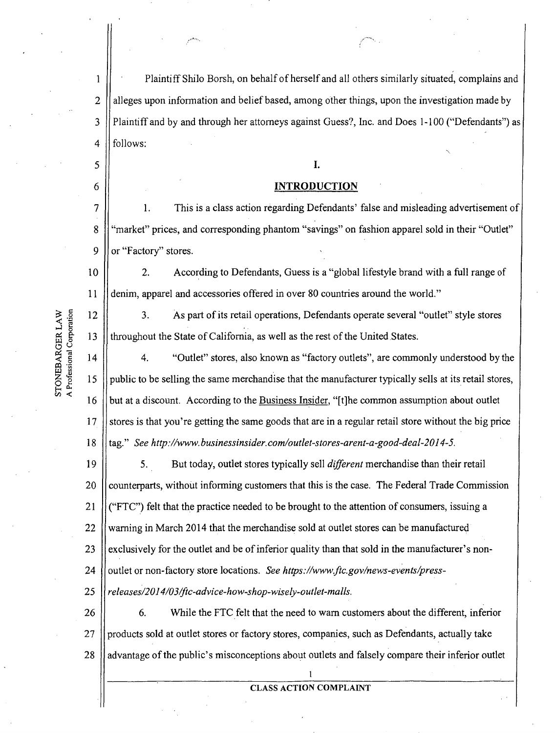1 Plaintiff Shilo Borsh, on behalf of herself and all others similarly situated, complains and  $2$  || alleges upon information and belief based, among other things, upon the investigation made by 3 Plaintiff and by and through her attorneys against Guess?, Inc. and Does 1-100 ("Defendants") as  $4$  || follows: ..

# $\begin{array}{c|c|c|c} \hline \text{5} & \text{I.} \end{array}$

# 6 **INTRODUCTION**

7 1. This is a class action regarding Defendants' false and misleading advertisement of 8 | "market" prices, and corresponding phantom "savings" on fashion apparel sold in their "Outlet" 9  $\parallel$  or "Factory" stores.

10 2. According to Defendants, Guess is a"global lifestyle brand with a full range of 11 I denim, apparel and accessories offered in over 80 countries around the world."

12 3. As part of its retail operations, Defendants operate several "outlet" style stores 13 throughout the State of California, as well as the rest of the United.States.

 $14$ 4. "Outlet" stores, also known as "factory outlets", are commonly understood by the 15 public to be selling the same merchandise that the manufacturer typically sells at its retail stores, 16 but at a discount. According to the Business Insider, "[t]he common assumption about outlet 17 stores is that you're getting the same goods that are in a regular retail store without the big price 18 I tag." *See http://www.businessinsider.com/outlet-stores-arent-a-good-deal-2014-5.* 

19 20 21 22 23 24 25 5. But today, outlet stores typically sell *different* merchandise than their retail counterparts, without informing customers that this is the case. The Federal Trade Commission ("FTC") felt that the practice needed to be brought to the attention of consumers, issuing a warning in March 2014 that the merchandise sold at outlet stores can be manufactured exclusively for the outlet and be of inferior quality than that sold in the manufacturer's nonoutlet or non-factory store locations. *See https://www.ftc.gov/news-events/pressreleases/2014/03/ftc-advi ce-how-shop-wisely-outlet-malls.* 

26 27 28 6. While the FTC felt that the need to warn customers about the different, inferior products sold at outlet stores or factory stores, companies, such as Defendants, actually take advantage of the public's misconceptions about outlets and falsely compare their inferior outlet

### t CLASS ACTION COMPLAINT

A Professional Corporation STONEBARGER LAW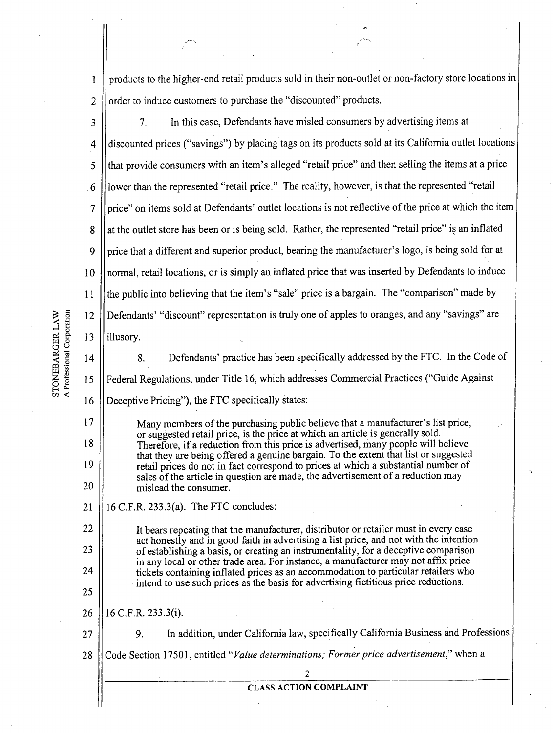1 2 products to the higher-end retail products sold in their non-outlet or non-factory store locations ir order to induce customers to purchase the "discounted" products.

3 4 5 6 7 8 9 10 11 12 I 13 7. In this case, Defendants have misled consumers by advertising items at discounted prices ("savings") by placing tags on its products sold at its California outlet locations that provide consumers with an item's alleged "retail price" and then selling the items at a price lower than the represented "retail price." The reality, however, is that the represented "retail price" on items sold at Defendants' outlet locations is not reflective of the price at which the item I at the outlet store has been or is being sold. Rather, the represented "retail price" is an inflated price that a different and superior product, bearing the manufacturer's logo, is being sold for at normal, retail locations, or is simply an inflated price that was inserted by Defendants to induce the public into believing that the item's "sale" price is a bargain. The "comparison" made by Defendants' "discount" representation is truly one of apples to oranges, and any "savings" are illusory.

14 15 STONEBARGER LAW<br>A Professional Corporation

16

17

18

19

20

22

23

24

25

8. Defendants' practice has been specifically addressed by the FTC. In the Code of Federal Regulations, under Title 16, which addresses Commercial Practices ("Guide Against Deceptive Pricing"), the FTC specifically states:

Many members of the purchasing public believe that a manufacturer's list price, or suggested retail price, is the price at which an article is generally sold. Therefore, if a reduction from this price is advertised, many people will believe that they are being offered a genuine bargain. To the extent that list or suggested retail prices do not in fact correspond to prices at which a substantial number of sales of the article in question are made, the advertisement of a reduction may mislead the consumer.

21  $16$  C.F.R. 233.3(a). The FTC concludes:

> It bears repeating that the manufacturer, distributor or retailer must in every case act honestly and in good faith in advertising a list price, and not with the intention of establishing a basis, or creating an instrumentality, for a deceptive comparison in any local or other trade area. For instance, a manufacturer may not affix price tickets containing inflated prices as an accommodation to particular retailers who intend to use such prices as the basis for advertising fictitious price rednctions.

26 16 C.F.R. 233.3(i).

27 28 9. In addition, under California law, specifically California Business and Professions I Code Section 17501, entitled *"value determinations; Former price advertisement,"* when a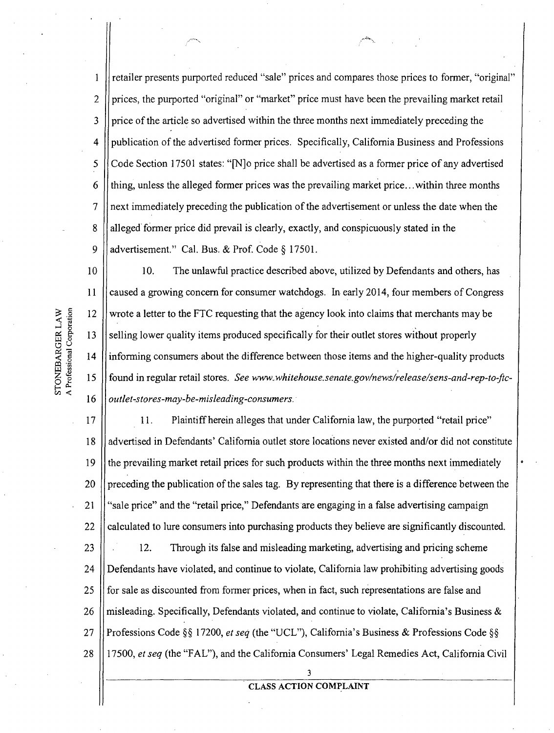1 retailer presents purported reduced "sale" prices and compares those prices to former, "original" 2  $\parallel$  prices, the purported "original" or "market" price must have been the prevailing market retail  $3$  || price of the article so advertised within the three months next immediately preceding the 4 publication of the advertised former prices. Specifically, California Business and Professions  $5 \int \text{Code Section 17501 states: "N]o price shall be advertised as a former price of any advertised$ 6 thing, unless the alleged former prices was the prevailing market price... within three months 7 next immediately preceding the publication of the advertisement or unless the date when the 8 alleged former price did prevail is clearly, exactly, and conspicuously stated in the 9 | | advertisement." Cal. Bus. & Prof. Code  $\S 17501$ .

10 10. The unlawful practice described above, utilized by Defendants and others, has caused a growing concern for consumer watchdogs. In early 2014, four members of Congress  $11$ 12 wrote a letter to the FTC requesting that the agency look into claims that merchants may be 13 selling lower quality items produced specifically for their outlet stores without properly 14' informing consumers about the difference between those items and the higher-quality products 15 found in regular retail stores. See www.whitehouse.senate.gov/news/release/sens-and-rep-to-ftc-*I outlet-stores-may-be-misleading-consumers.*  16

A Professional Corporation STONEBARGER LAW

> 17 18 19 20 21 22 23 24 25 26 27 28 11. Plaintiff herein alleges that under California law, the purported "retail price" advertised in Defendants' California outlet store locations never existed and/or did not constitute the prevailing market retail prices for such products within the three months next immediately preceding the publication of the sales tag. By representing that there is a difference between the "sale price" and the "retail price," Defendants are engaging in a false advertising campaign calculated to lure consumers into purchasing products they believe are significantly discounted. 12. Through its false and misleading marketing, advertising and pricing scheme Defendants have violated, and continue to violate, California law prohibiting advertising goods for sale as discounted from former prices, when in fact, such representations are false and misleading. Specifically, Defendants violated, and continue to violate, California's Business & Professions Code §§ 17200, *et seq* (the "UCL"), California's Business & Professions Code §§ 17500, *et seq* (the "FAL"), and the California Consumers' Legal Remedies Act, California Civil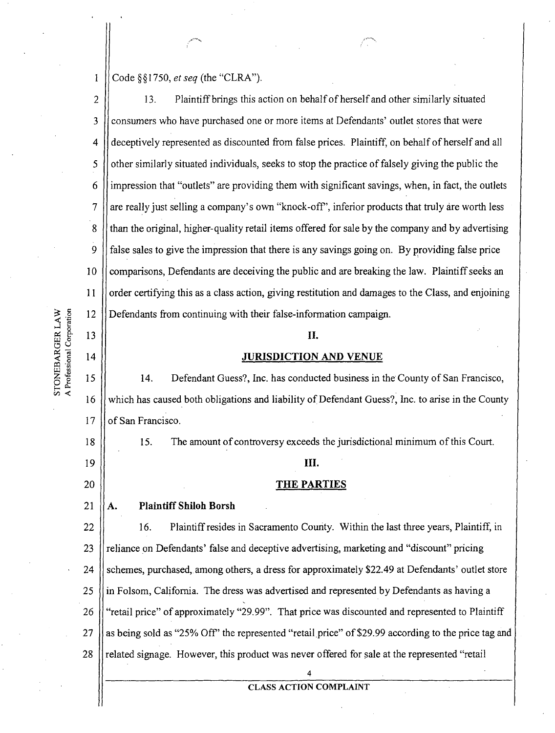1 Code §§ 1750, *et seq* (the "CLRA")

2 3 4 5 6 7 8 9 10 11 I 12 13. Plaintiff brings this action on behalf of herself and other similarly situated consumers who have purchased one or more items at Defendants' outlet stores that were deceptively represented as discounted from false prices. Plaintiff, on behalf of herself and all other similarly situated individuals, seeks to stop the practice of falsely giving the public the impression that "outlets" are providing them with significant savings, when, in fact, the outlets are really just selling a company's own "knock-off", inferior products that truly are worth less than the original, higher-quality retail items offered for sale by the company and by advertising false sales to give the impression that there is any savings going on. By providing false price comparisons, Defendants are deceiving the public and are breaking the law. Plaintiff seeks an order certifying this as a class action, giving restitution and damages to the Class, and enjoining Defendants from continuing with their false-information campaign.

# II.

### JURISDICTION AND VENUE

15 16 17 14. Defendant Guess?, Inc. has conducted business in the County of San Francisco, which has caused both obligations and liability of Defendant Guess?, Inc. to arise in the County of San Francisco.

15. The amount of controversy exceeds the jurisdictional minimum of this Court.

### Ш.

### THE PARTIES

#### 21 A. Plaintiff Shiloh Borsh

22 23 24 25 26 27 28 16. Plaintiff resides in Sacramento Courity. Within the last three years, Plaintiff, in reliance on Defendants' false and deceptive advertising, marketing and "discount" pricing schemes, purchased, among others, a dress for approximately \$22.49 at Defendants' outlet store in Folsom, California. The dress was advertised and represented by Defendants as having a "retail price" of approximately "29.99". That price was discounted and represented to Plaintiff as being sold as "25% Off" the represented "retail price" of \$29.99 according to the price tag and related signage. However, this product was never offered for sale at the represented "retail

# 4 CLASS ACTION COMPLAINT

 $\frac{\text{AW}}{\text{400}}$  $\frac{1}{2}$  is

13

14

18

19

20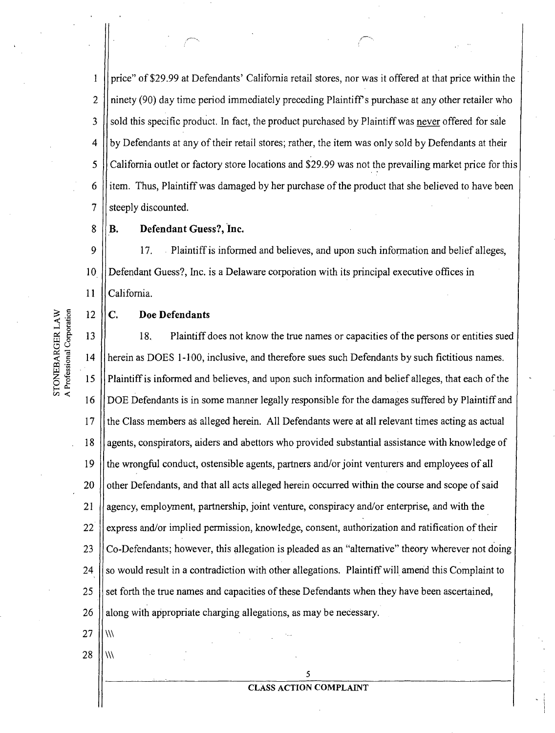price" of \$29.99 at Defendants' California retail stores, nor was it offered at that price within the 2 || ninety (90) day time period immediately preceding Plaintiff's purchase at any other retailer who  $3 \mid$  sold this specific product. In fact, the product purchased by Plaintiff was never offered for sale || by Defendants at any of their retail stores; rather, the item was only sold by Defendants at their California outlet or factory store locations and \$29.99 was not the prevailing market price for this ||item. Thus, Plaintiff was damaged by her purchase of the product that she believed to have been || steeply discounted.

8 || **B.** Defendant Guess?, Inc.

~`•~

9 17. Plaintiff is informed and believes, and upon such information and belief alleges, Ut Defendant Guess?, Inc. is a Delaware corporation with its principal executive offices in 11 California.

# $12 \parallel C$ . Doe Defendants

18. Plaintiff does not know the true names or capacities of the persons or entities sued herein as DOES 1-100, inclusive, and therefore sues such Defendants by such fictitious names. Plaintiff is informed and believes, and upon such information and belief alleges, that each of the DOE Defendants is in some manner legally responsible for the damages suffered by Plaintiff and 17 I the Class members as alleged herein. All Defendants were at all relevant times acting as actual 18 agents, conspirators, aiders and abettors who provided substantial assistance with knowledge of the wrongful conduct, ostensible agents, partners and/or joint venturers and employees of all 20 | other Defendants, and that all acts alleged herein occurred within the course and scope of said  $\theta$  agency, employment, partnership, joint venture, conspiracy and/or enterprise, and with the express and/or implied permission, knowledge, consent, authorization and ratification of their  $\vert$  Co-Defendants; however, this allegation is pleaded as an "alternative" theory wherever not doing ||so would result in a contradiction with other allegations. Plaintiff will amend this Complaint to  $\parallel$  set forth the true names and capacities of these Defendants when they have been ascertained, 26 along with appropriate charging allegations, as may be necessary.  $27 \|\|\|$ 

 $28$   $\,\mathrm{H}$  W

STONEBARGER LAW<br>A Professional Corporation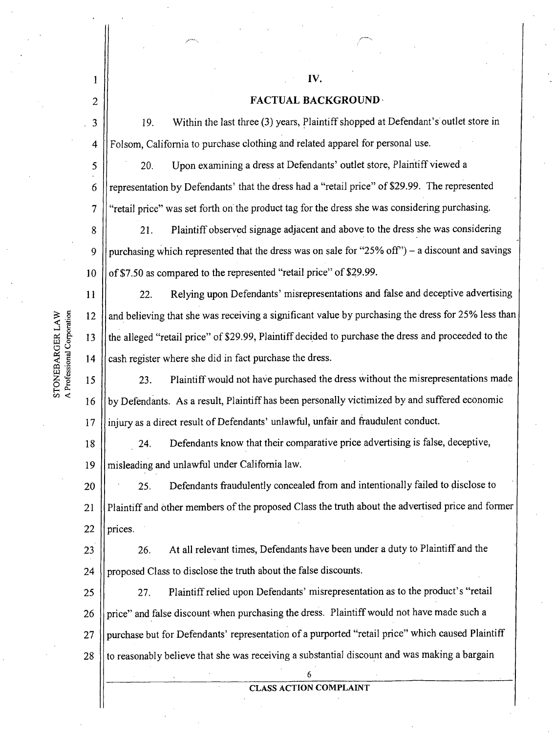r<sup>ema</sup>r.

# **FACTUAL BACKGROUND** ,

2 19. Within the last three (3) years, Plaintiff shopped at Defendant's outlet store in 3 Folsom, California to purchase clothing and related apparel for personal use. 4 20. Upon examining a dress at Defendants' outlet store, Plaintiff viewed a 5 representation by Defendants' that the dress had a"retail price" of \$29.99. The represented 6 "retail price" was set forth on the product tag for the dress she was considering purchasing. 7 21. Plaintiff observed signage adjacent and above to the dress she was considering 8 purchasing which represented that the dress was on sale for "25% off') — a discount and savings 9 of \$7.50 as compared to the represented "retail price" of \$29.99. 10 22. Relying upon Defendants' misrepresentations and false and deceptive advertising 11 and believing that she was receiving a significant value by purchasing the dress for 25% less than 12 the alleged "retail price" of \$29.99, Plaintiff decided to purchase the dress and proceeded to the 13 cash register where she did in fact purchase the dress. 14 23. Plaintiff would not have purchased the dress without the misrepresentations made 15 by Defendants. As a result, Plaintiff has been personally victimized by and suffered economic 16 injury as a direct result of Defendants' unlawful, unfair and fraudulent conduct. 17 24. Defendants know that their comparative price advertising is false, deceptive, 18 19 misleading and unlawful under California law. 25. Defendants fraudulently concealed from and intentionally failed to disclose to 20 Plaintiff and other members of the proposed Class the truth about the advertised price and former 21 22 prices. 26. At all relevant times, Defendants have been under a duty to Plaintiff and the 23 proposed Class to disclose the truth about the false discounts. 24 27. Plaintiff relied upon Defendants' misrepresentation as to the product's "retail 25 price" and false discount when purchasing the dress. Plaintiff would not have made such a 26 purchase but for Defendants' representation of a purported "retail price" which caused Plaintiff 27 to reasonably believe that she was receiving a substantial discount and was making a bargain 28 6

CLASS ACTION COMPLAINT

A Professional Corporation STONEBARGER LAW

1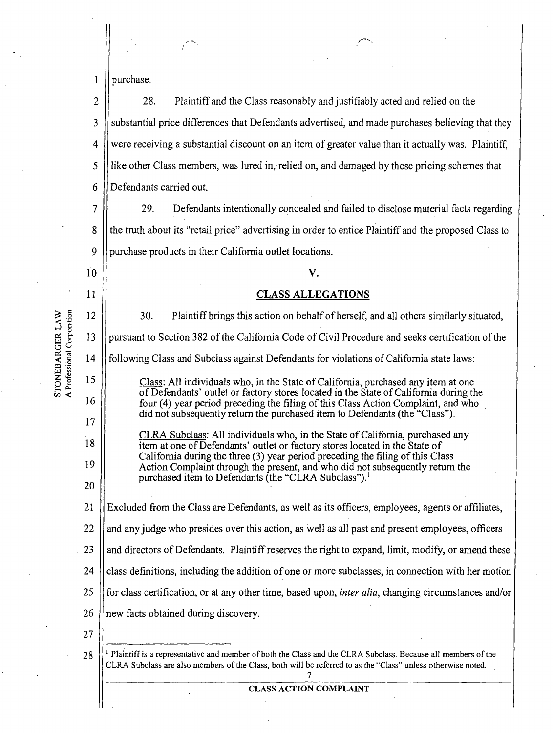1 purchase.

2 3 4 5, 6 28. Plaintiff and the Class reasonably and justifiably acted and relied on the substantial price differences that Defendants advertised, and made purchases believing that they were receiving a substantial discount on an item of greater value than it actually was. Plaintiff, like other Class members, was lured in, relied on, and damaged by these pricing schemes that Defendants carried out.

7 8 9 29. Defendants intentionally concealed and failed to disclose material facts regarding the truth about its "retail price" advertising in order to entice Plaintiff and the proposed Class to purchase products in their California outlet locations.

A Professional Corporation STONEBARGER LAW

| 10 | V.                                                                                                                                                                                                                                        |  |  |  |  |
|----|-------------------------------------------------------------------------------------------------------------------------------------------------------------------------------------------------------------------------------------------|--|--|--|--|
| 11 | <b>CLASS ALLEGATIONS</b>                                                                                                                                                                                                                  |  |  |  |  |
| 12 | 30.<br>Plaintiff brings this action on behalf of herself, and all others similarly situated,                                                                                                                                              |  |  |  |  |
| 13 | pursuant to Section 382 of the California Code of Civil Procedure and seeks certification of the                                                                                                                                          |  |  |  |  |
| 14 | following Class and Subclass against Defendants for violations of California state laws:                                                                                                                                                  |  |  |  |  |
| 15 | Class: All individuals who, in the State of California, purchased any item at one                                                                                                                                                         |  |  |  |  |
| 16 | of Defendants' outlet or factory stores located in the State of California during the<br>four (4) year period preceding the filing of this Class Action Complaint, and who                                                                |  |  |  |  |
| 17 | did not subsequently return the purchased item to Defendants (the "Class").                                                                                                                                                               |  |  |  |  |
| 18 | CLRA Subclass: All individuals who, in the State of California, purchased any<br>item at one of Defendants' outlet or factory stores located in the State of                                                                              |  |  |  |  |
| 19 | California during the three (3) year period preceding the filing of this Class<br>Action Complaint through the present, and who did not subsequently return the                                                                           |  |  |  |  |
| 20 | purchased item to Defendants (the "CLRA Subclass"). <sup>1</sup>                                                                                                                                                                          |  |  |  |  |
| 21 | Excluded from the Class are Defendants, as well as its officers, employees, agents or affiliates,                                                                                                                                         |  |  |  |  |
| 22 | and any judge who presides over this action, as well as all past and present employees, officers                                                                                                                                          |  |  |  |  |
| 23 | and directors of Defendants. Plaintiff reserves the right to expand, limit, modify, or amend these                                                                                                                                        |  |  |  |  |
| 24 | class definitions, including the addition of one or more subclasses, in connection with her motion                                                                                                                                        |  |  |  |  |
| 25 | for class certification, or at any other time, based upon, <i>inter alia</i> , changing circumstances and/or                                                                                                                              |  |  |  |  |
| 26 | new facts obtained during discovery.                                                                                                                                                                                                      |  |  |  |  |
| 27 |                                                                                                                                                                                                                                           |  |  |  |  |
| 28 | <sup>1</sup> Plaintiff is a representative and member of both the Class and the CLRA Subclass. Because all members of the<br>CLRA Subclass are also members of the Class, both will be referred to as the "Class" unless otherwise noted. |  |  |  |  |
|    | <b>CLASS ACTION COMPLAINT</b>                                                                                                                                                                                                             |  |  |  |  |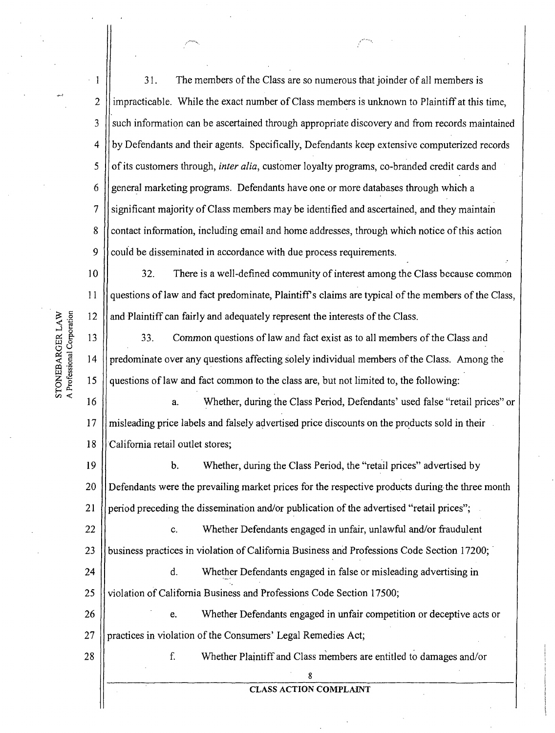1 2 3 4 5 6 7 8 9 31. The members of the Class are so numerous that joinder of all members is impracticable. While the exact number of Class members is unknown to Plaintiff at this time, such information can be ascertained through appropriate discovery and from records maintained by Defendants and their agents. Specifically, Defendants keep extensive computerized records of its customers through, *inter alia,* customer loyalty programs, co-branded credit cards and general marketing programs. Defendants have one or more databases through which a significant majority of Class members may be identified and ascertained, and they maintain contact information, including email and home addresses, through which notice of this action could be disseminated in accordance with due process requirements.

10 11 12 32. There is a well-defined community of interest among the Class because common questions of law and fact predominate, Plaintiff's claims are typical of the members of the Class, and Plaintiff can fairly and adequately represent the interests of the Class.

13 14 15 33. Common questions of law and fact exist as to all members of the Class and predominate over any questions affecting solely individual members of the Class. Among the questions of law and fact commori to the class are, but not limited to, the following:

16 17 18 a. Whether, during the Class Period, Defendants' used false "retail prices" or misleading price labels and falsely advertised price discounts on the products sold in their . California retail outlet stores;

19 20 21 b. Whether, during the Class Period, the "retail prices" advertised by Defendants were the prevailing market prices for the respective products during-the three month period preceding the dissemination and/or publication of the advertised "retail prices";

22 23 C. Whether Defendants engaged in unfair, unlawful and/or fraudulent business practices in violation of California Business and Professions Code Section 17200;

24 25 d. Whether Defendants engaged in false or misleading advertising in violation of California Business and Professions Code Section 17500;

26 27 e. Whether Defendants engaged in unfair competition or deceptive acts or practices in violation of the Consumers' Legal Remedies Act;

28

f. Whether Plaintiff and Class members are entitled to damages and/or

8 CLASS ACTION COMPLAINT

STONEBARGER LAW A Professional Corporation

w~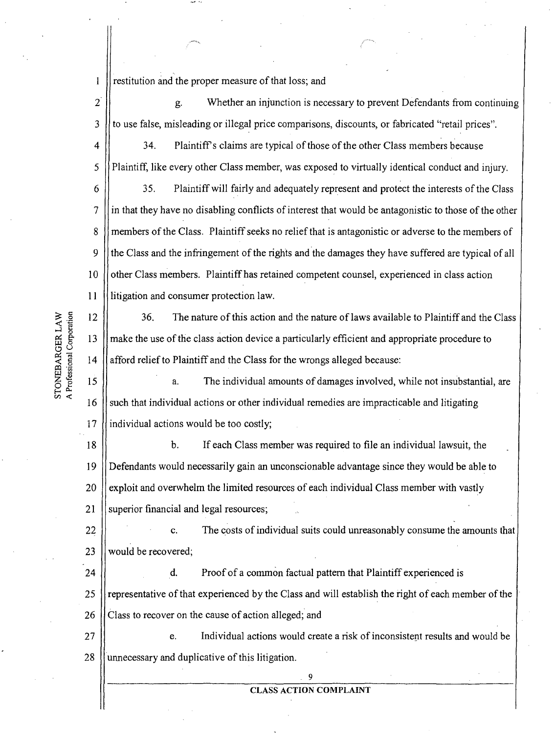$\mathbf{1}$ restitution and the proper measure of that loss; and

2 3 g. Whether an injunction is necessary to prevent Defendants from continuing to use false, misleading or illegal price comparisons, discounts, or fabricated "retail prices".

4 5 34. Plaintiff's claims are typical of those of the other Class members because Plaintiff, like every other Class member, was exposed to virtually identical conduct and injury.

6 7 8 9 10 11 35. Plaintiff will fairly and adequately represent and protect the interests of the Class in that they have no disabling conflicts of interest that would be antagonistic to those of the other members of the Class. Plaintiff seeks no relief that is antagonistic or adverse to the members of the Class and the infringement of the rights and the damages they have suffered are typical of all other Class members. Plaintiff has retained competent counsel, experienced in class action litigation and consumer protection law.

12 13 14 36. The nature of this action and the nature of laws available to Plaintiff and the Class make the use of the class action device a particularly efficient and appropriate procedure to afford relief to Plaintiff and the Class for the wrongs alleged because:

15 16 17 a. The individual amounts of damages involved, while not insubstantial, are such that individual actions or other individual remedies are impracticable and litigating individual actions would be too costly;

18 19' 20 21 b. If each Class member was required to file an individual lawsuit, the Defendants would necessarily gain an unconscionable advantage since they would be able to exploit and overwhelm the limited resources of each individual Class member with vastly superior financial and legal resources;

22 23 C. The costs of individual suits could unreasonably consume the amounts that would be recovered;

24 25 26 **i** d. Proof of a common factual pattern that Plaintiff experienced is representative of that experienced by the Class and will establish the right of each member of the Class to recover on the cause of action alleged; and

27 28 e. Individual actions would create a risk of inconsistent results and would be unnecessary and duplicative of this litigation.

### 9 CLASS ACTION COMPLAINT

A Professional Corporation STONEBARGER LAW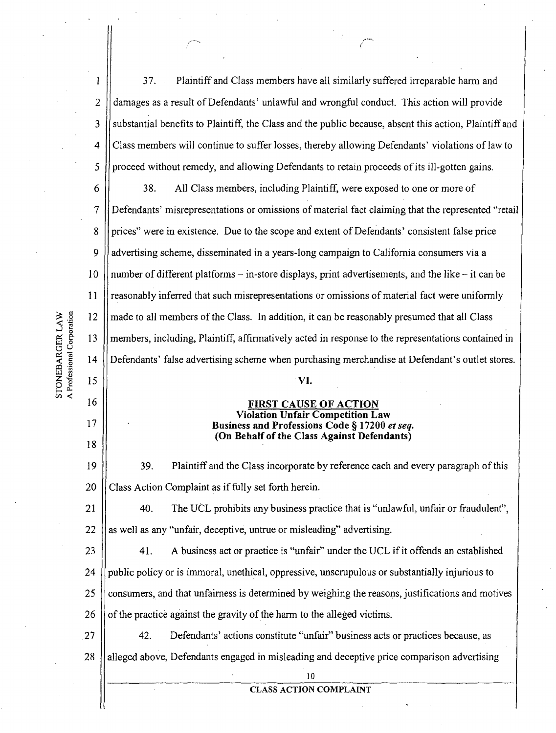1 2 3 4 5 6 7 8 9 10 11 12 13 14 15 16 17 18 19 20 21 22 23 24 25 26 27 28 37. Plaintiff and Class members have all similarly suffered irreparable harm and damages as a result of Defendants' unlawful and wrongful conduct. This action will provide substantial benefits to Plaintiff, the Class and the public because, absent this action, Plaintiff and Class members will continue to suffer losses, thereby allowing Defendants' violations of law to proceed without remedy, and allowing Defendants to retain proceeds of its ill-gotten gains. 38. All Class members, including Plaintiff, were exposed to one or more of Defendants' misrepresentations or omissions of material fact claiming that the represented "retail prices" were in existence. Due to the scope and extent of Defendants' consistent false price advertising scheme, disseminated in a years-long campaign to California consumers via a number of different platforms — in-store displays, print advertisements, and the like — it can be reasonably inferred that such misrepresentations or omissions of material fact were uniformly made to all members of the Class. In addition, it can be reasonably presumed that all Class members, including, Plaintiff, affirmatively acted in response to the representations contained in Defendants' false advertising scheme when purchasing merchandise at Defendant's outlet stores. VI. FIRST CAUSE OF ACTION Violation Unfair Competition Law Business and Professions Code § 17200 *et seq.*  (On Behalf of the Class Against Defendants) 39. Plaintiff and the Class incorporate by reference each and every paragraph of this Class Action Complaint as if fully set forth herein. 40. The UCL prohibits any business practice that is "unlawful, unfair or fraudulent", as well as any "unfair, deceptive, untrue or misleading" advertising. 41. A business act or practice is "unfair" under the UCL if it offends an established public policy or is immoral, unethical, oppressive, unscrupulous or substantially injurious to consumers, and that unfairness is determined by weighing the reasons, justifications and motives of the practice against the gravity of the harm to the alleged victims. 42. Defendants' actions constitute "unfair" business acts or practices because, as alleged above, Defendants engaged in misleading and deceptive price comparison advertising lo CLASS ACTION COMPLAINT

STONEBARGER LAW<br>A Professional Corporation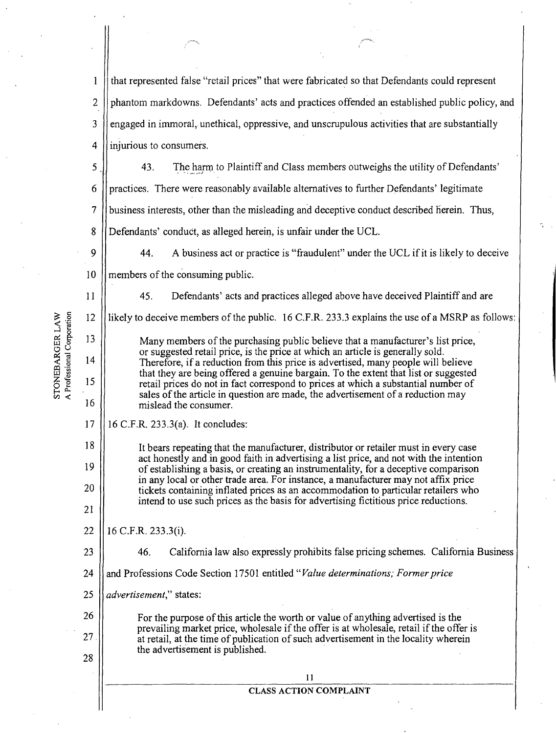|                                               | l            | that represented false "retail prices" that were fabricated so that Defendants could represent                                                                                                                                                                                                        |  |
|-----------------------------------------------|--------------|-------------------------------------------------------------------------------------------------------------------------------------------------------------------------------------------------------------------------------------------------------------------------------------------------------|--|
|                                               | $\mathbf{2}$ | phantom markdowns. Defendants' acts and practices offended an established public policy, and                                                                                                                                                                                                          |  |
|                                               | 3            | engaged in immoral, unethical, oppressive, and unscrupulous activities that are substantially                                                                                                                                                                                                         |  |
|                                               | 4            | injurious to consumers.                                                                                                                                                                                                                                                                               |  |
|                                               | 5            | 43.<br>The harm to Plaintiff and Class members outweighs the utility of Defendants'                                                                                                                                                                                                                   |  |
|                                               | 6            | practices. There were reasonably available alternatives to further Defendants' legitimate                                                                                                                                                                                                             |  |
|                                               | 7            | business interests, other than the misleading and deceptive conduct described herein. Thus,                                                                                                                                                                                                           |  |
|                                               | 8            | Defendants' conduct, as alleged herein, is unfair under the UCL.                                                                                                                                                                                                                                      |  |
|                                               | 9            | 44.<br>A business act or practice is "fraudulent" under the UCL if it is likely to deceive                                                                                                                                                                                                            |  |
|                                               | 10           | members of the consuming public.                                                                                                                                                                                                                                                                      |  |
|                                               | 11           | 45.<br>Defendants' acts and practices alleged above have deceived Plaintiff and are                                                                                                                                                                                                                   |  |
|                                               | 12           | likely to deceive members of the public. 16 C.F.R. 233.3 explains the use of a MSRP as follows:                                                                                                                                                                                                       |  |
|                                               | 13           | Many members of the purchasing public believe that a manufacturer's list price,                                                                                                                                                                                                                       |  |
|                                               | 14           | or suggested retail price, is the price at which an article is generally sold.<br>Therefore, if a reduction from this price is advertised, many people will believe<br>that they are being offered a genuine bargain. To the extent that list or suggested                                            |  |
| STONEBARGER LAW<br>A Professional Corporation | 15           | retail prices do not in fact correspond to prices at which a substantial number of<br>sales of the article in question are made, the advertisement of a reduction may                                                                                                                                 |  |
|                                               | 16           | mislead the consumer.                                                                                                                                                                                                                                                                                 |  |
|                                               | 17           | 16 C.F.R. 233.3(a). It concludes:                                                                                                                                                                                                                                                                     |  |
|                                               | 18           | It bears repeating that the manufacturer, distributor or retailer must in every case<br>act honestly and in good faith in advertising a list price, and not with the intention                                                                                                                        |  |
|                                               | 19           | of establishing a basis, or creating an instrumentality, for a deceptive comparison<br>in any local or other trade area. For instance, a manufacturer may not affix price                                                                                                                             |  |
|                                               | 20           | tickets containing inflated prices as an accommodation to particular retailers who<br>intend to use such prices as the basis for advertising fictitious price reductions.                                                                                                                             |  |
|                                               | 21           |                                                                                                                                                                                                                                                                                                       |  |
|                                               | 22           | 16 C.F.R. 233.3(i).                                                                                                                                                                                                                                                                                   |  |
|                                               | 23           | California law also expressly prohibits false pricing schemes. California Business<br>46.                                                                                                                                                                                                             |  |
|                                               | 24           | and Professions Code Section 17501 entitled "Value determinations; Former price                                                                                                                                                                                                                       |  |
|                                               | 25           | advertisement," states:                                                                                                                                                                                                                                                                               |  |
|                                               | 26           | For the purpose of this article the worth or value of anything advertised is the<br>prevailing market price, wholesale if the offer is at wholesale, retail if the offer is<br>at retail, at the time of publication of such advertisement in the locality wherein<br>the advertisement is published. |  |
|                                               | 27           |                                                                                                                                                                                                                                                                                                       |  |
|                                               | 28           | 11                                                                                                                                                                                                                                                                                                    |  |
|                                               |              | <b>CLASS ACTION COMPLAINT</b>                                                                                                                                                                                                                                                                         |  |
|                                               |              |                                                                                                                                                                                                                                                                                                       |  |

 $\hat{\theta}$ 

 $\cdot$ 

 $\begin{array}{c} \hline \end{array}$ 

 $\cdot$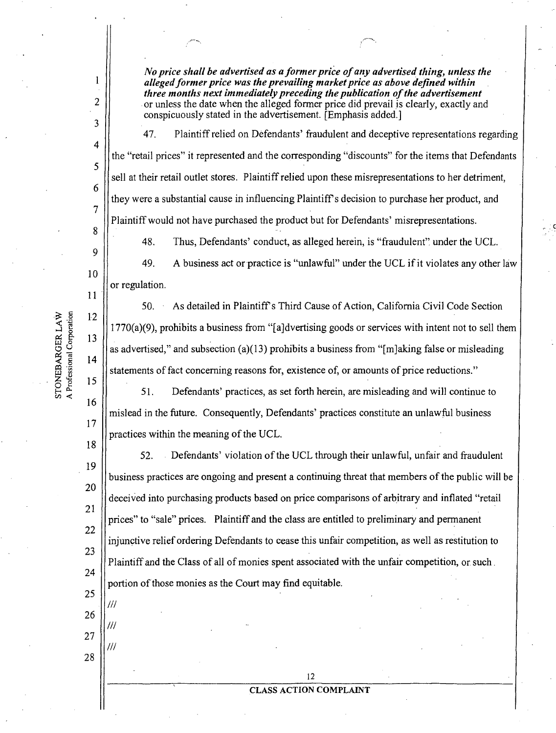*No price shall be advertised as a former price of any advertised thing, unless the alleged former price was the prevailing market price as above defined within three months next immediately preceding the publication of the advertisement*  or unless the date when the alleged former price did prevail is clearly, exactly and conspicuously stated in the advertisement. [Emphasis added.]

47. Plaintiff relied on Defendants' fraudulent and deceptive representations regarding the "retail prices" it represented and the corresponding "discounts" for the items that Defendants sell at their retail outlet stores. Plaintiff relied upon these misrepresentations to her detriment, they were a substantial cause in influencing Plaintiff s decision to purchase her product, and Plaintiff would not have purchased the product but for Defendants' misrepresentations.

48. Thus, Defendants' conduct, as alleged herein, is "fraudulent", under the UCL.

9 10 11 49. A business act or practice is "unlawful" under the UCL if it violates any other law or regulation.

50. As detailed in Plaintiffls Third Cause of Action, California Civil Code Section  $1770(a)(9)$ , prohibits a business from "[a]dvertising goods or services with intent not to sell them as advertised," and subsection (a)(13) prohibits a business from "[m]aking false or misleading statements of fact concerning reasons for, existence of, or amounts of price reductions."

51. Defendants' practices, as set forth herein, are misleading and will continue to mislead in the future. Consequently, Defendants' practices constitute an unlawful business practices within the meaning of the UCL.

19 20 21 22 23 24 25 52. Defendants' violation of the UCL through their unlawful, unfair and fraudulent business practices are ongoing and present a continuing threat that members of the public will be deceived into purchasing products based on price comparisons of arbitrary and inflated "retail prices" to "sale" prices. Plaintiff and the class are entitled to preliminary and permanent injunctive relief ordering Defendants to cease this unfair competition, as well as restitution to Plaintiff and the Class of all of monies spent associated with the unfair competition, or such . portion of those monies as the Court may find equitable.

STONEBARGER LAW

A Professional Corporation

1

2

3

4

5

6

7

8

12

13

14

15

16

17

18

26

///

///

///

27

28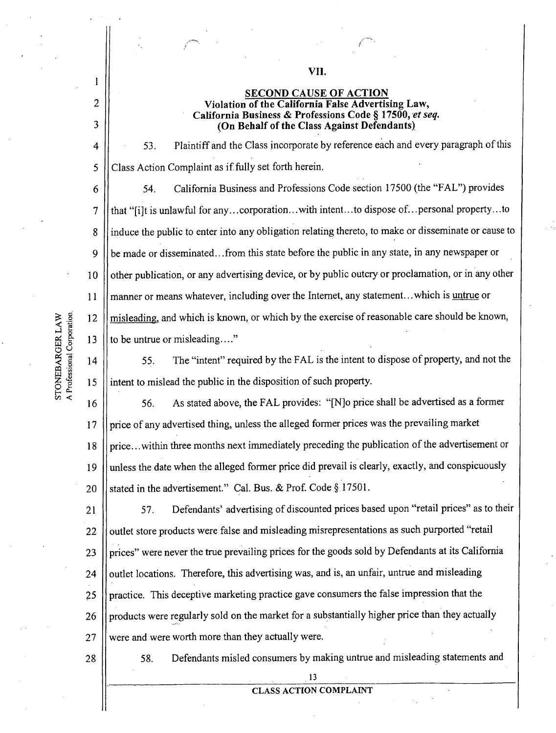vrl.

**(On Behalf of the Class Against Defendants)** 

53. Plaintiff and the Class incorporate by reference eacli and every paragraph of this Class Action Complaint as if.fully set forth herein.

6 7 8 9 10 11 12 13 54. California Business and Professions Code section 17500 (the "FAL") provides that "[i]t is unlawful for any ... corporation ... with intent...to dispose of...personal property ... to induce the public to enter into any obligation relating thereto, to make or disseminate or cause to be made or disseminated ... from this state before the public in any state, in any newspaper or other publication, or any advertising device, or by public outcry or proclamation, or in any other manner or means whatever, including over the Internet, any statement...which is untrue or misleading, and which is known, or which by the exercise of reasonable care should be known, to be untrue or misleading...."

55. The "intent" required by the FAL is the intent to dispose of property, and not the intent to mislead the public in the disposition of such property.

16 17 18 19 20 56. As stated above, the FAL provides: "[N)o price shall be advertised as a former price of any advertised thing, unless the alleged former prices was the prevailing market price ... within three months next immediately preceding the publication of the advertisement or unless the date when the alleged former price did prevail is clearly, exactly, and conspicuously stated in the advertisement." Cal. Bus. & Prof. Code § 17501.

21 22 23 24 ' 25 26 27 57. Defendants' advertising of discounted prices based upon "retail prices" as to their outlet store products were false and misleading misrepresentations as such purported "retail prices" were never the true prevailing prices for the goods sold by Defendants at its California outlet locations. Therefore, this advertising was, and is, an unfair, untrue and misleading practice. This deceptive marketing practice gave consumers the false impression that the products were regularly sold on the market for a substantially higher price than they actually were and were worth more than they actually were.

28

58. Defendants misled consumers by making untrue and misleading statements and

A Professional Corporation STONEBARGER LAW

14

15

1

2

3

4

5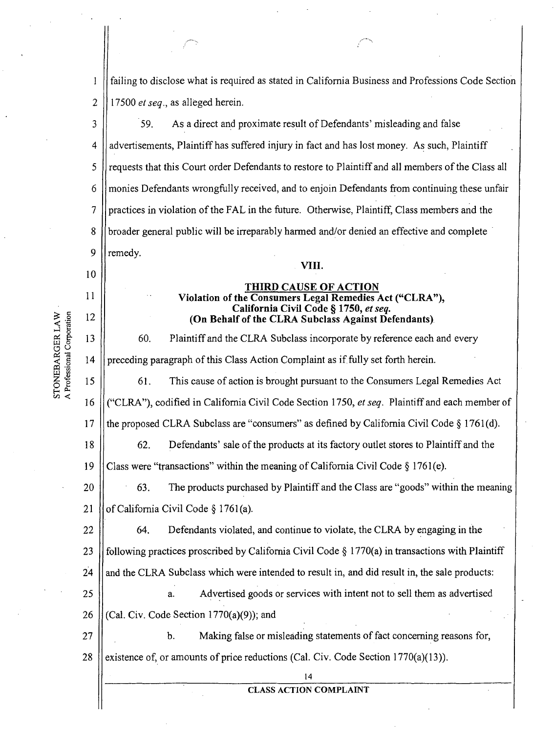1 2 failing to disclose what is required as stated in California Business and Professions Code Section 17500 *et seq.,* as alleged herein.

~~..

3 4 5 6 7 8 9 59. As a direct and proximate result of Defendants' misleading and false advertisements, Plaintiff has suffered injury in fact and has lost money. As such, Plaintiff requests that this Court order Defendants to restore to Plaintiff and all members of the Class all monies Defendants wrongfully received, and to enjoin Defendants from continuing these unfair practices in violation of the FAL in the future. Otherwise, Plaintiff, Class members and the broader general public will be irreparably harmed and/or denied an effective and complete remedy. VIII.

# THIRD CAUSE OF ACTION Violation of the Consumers Legal Remedies Act ("CLRA"), California Civil Code § 1750, *et seq.*  (On Behalf of the CLRA Subclass Against Defendants).

60. Plaintiff and the CLRA Subclass incorporate by reference each and every preceding paragraph of this Class Action Complaint as if.fully set forth herein.

61. This cause of action is brought pursuant to the Consumers Legal Remedies Act

16 <sup>I</sup> ("CLRA"), codified in California Civil Code Section 1750, *et seq.* Plaintiff and each member of

17 the proposed CLRA Subclass are "consumers" as defined by California Civil Code  $\S 1761(d)$ .

62. Defendants' sale of the products at its factory outlet stores to Plaintiff and the

19 Class were "transactions" within the meaning of California Civil Code  $\S 1761(e)$ .

20 21 63. The products purchased by Plaintiff and the Class are "goods" within the meaning of California Civil Code § 1761(a).

22 23 24 64. Defendants violated, and continue to violate, the CLRA by engaging in the following practices proscribed by California Civil Code  $\S$  1770(a) in transactions with Plaintiff and the CLRA Subclass which were intended to result in, and did result in, the sale products:

25 26 a. Advertised goods or services with intent not to sell them as advertised (Cal. Civ. Code Section  $1770(a)(9)$ ); and

27 28 b. Making false or misleading statements of fact concerning reasons for, existence of, or amounts of price reductions (Cal. Civ. Code Section 1770(a)(13)).

STONEBARGER LAW A Professional Corporation 10

11

12

13

14

15

18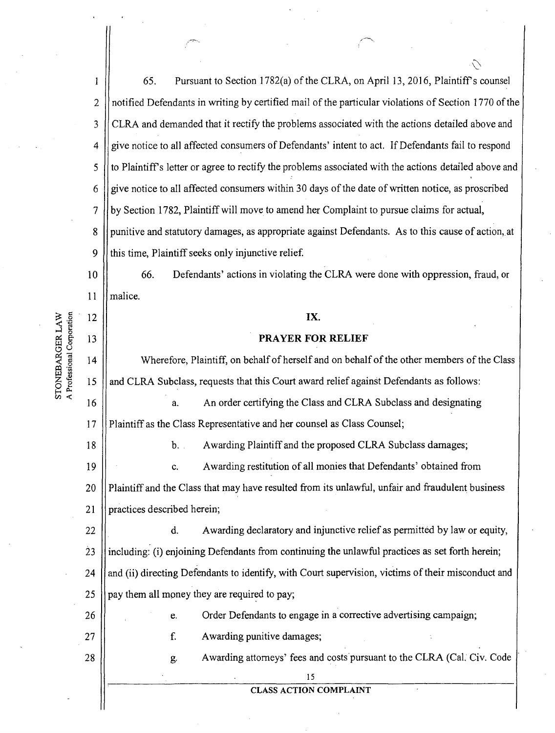1 2 3 4 5 6 7 8 9 10 11 12 I 13 I 14 65. Pursuant to Section 1782(a) of the CLRA, on April 13, 2016, Plaintiff's counsel notified Defendants in writing by certified mail of the particular violations of Section 1770 of the CLRA and demanded that it rectify the problems associated with the actions detailed above and give notice to all affected consumers of Defendants' intent to act. If Defendants fail to respond to Plaintiff's letter or agree to rectify the problems associated with the actions detailed above and give notice to all affected consumers within 30 days of the date of written notice, as proscribed by Section 1782, Plaintiff will move to amend her Complaint to pursue claims for actual, punitive and statutory damages, as appropriate against Defendants. As to this cause of action,.at this time, Plaintiff seeks only injunctive relief. 66. Defendants' actions in violating the CLRA were done with oppression, fraud, or malice. IX. PRAYER FOR RELIEF Wherefore, Plaintiff, on behalf of herself and on behalf of the other members of the Class

 $\bigvee$ 

15 and CLRA Subclass, requests that this Court award relief against Defendants as follows:

16 17 a. An order certifying the Class and CLRA Subclass and designating Plaintiff as the Class Representative and her counsel as Class Counsel;

18

A Professional Corporation STONEBARGER LAW

26

27

28

b. . Awarding Plaintiff and the proposed CLRA Subclass damages;

19 20 21 C. Awarding restitution of all monies that Defendants' obtained from Plaintiff and the Class that may have resulted from its unlawful, unfair and fraudulent business practices described herein;

22 23 24 25 d. Awarding declaratory and injunctive relief as permitted by law or equity, including: (i) enjoining Defendants from continuing the unlawful practices as set forth herein; and (ii) directing Defendants to identify, with Court supervision, victims of their misconduct and pay them all money they are required to pay;

> e. Order Defendants to engage in a corrective advertising campaign; f. Awarding punitive damages;

> > g. Awarding attorneys' fees and costs pursuant to the CLRA (Cal. Civ. Code

15